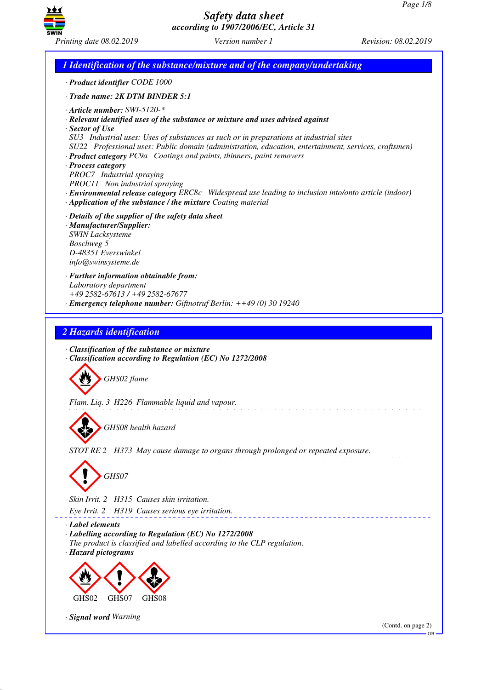GB



*Safety data sheet according to 1907/2006/EC, Article 31*

*1 Identification of the substance/mixture and of the company/undertaking · Product identifier CODE 1000 · Trade name: 2K DTM BINDER 5:1 · Article number: SWI-5120-\* · Relevant identified uses of the substance or mixture and uses advised against · Sector of Use SU3 Industrial uses: Uses of substances as such or in preparations at industrial sites SU22 Professional uses: Public domain (administration, education, entertainment, services, craftsmen) · Product category PC9a Coatings and paints, thinners, paint removers · Process category PROC7 Industrial spraying PROC11 Non industrial spraying · Environmental release category ERC8c Widespread use leading to inclusion into/onto article (indoor) · Application of the substance / the mixture Coating material · Details of the supplier of the safety data sheet · Manufacturer/Supplier: SWIN Lacksysteme Boschweg 5 D-48351 Everswinkel info@swinsysteme.de · Further information obtainable from: Laboratory department +49 2582-67613 / +49 2582-67677 · Emergency telephone number: Giftnotruf Berlin: ++49 (0) 30 19240 2 Hazards identification · Classification of the substance or mixture · Classification according to Regulation (EC) No 1272/2008* d~*GHS02 flame Flam. Liq. 3 H226 Flammable liquid and vapour.* d~*GHS08 health hazard STOT RE 2 H373 May cause damage to organs through prolonged or repeated exposure.* d~*GHS07 Skin Irrit. 2 H315 Causes skin irritation. Eye Irrit. 2 H319 Causes serious eye irritation.* <u>. . . . . . . . . . . .</u> *· Label elements · Labelling according to Regulation (EC) No 1272/2008 The product is classified and labelled according to the CLP regulation. · Hazard pictograms* <  $\langle \cdot \rangle$  $\Leftrightarrow$ GHS<sub>07</sub> GHS<sub>02</sub> GHS0 *· Signal word Warning* (Contd. on page 2)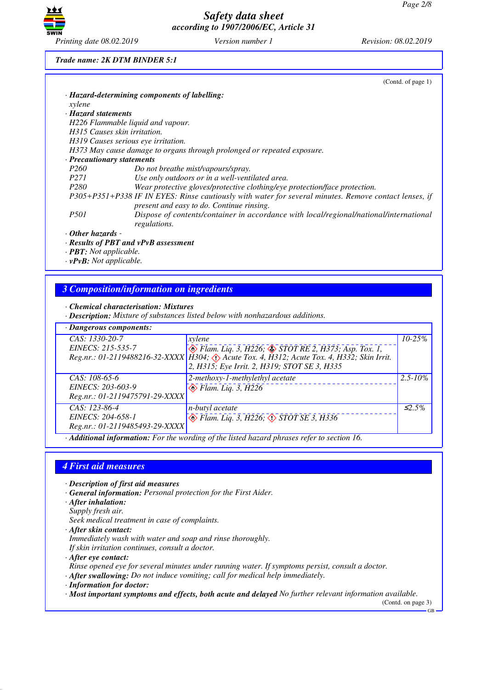

*Trade name: 2K DTM BINDER 5:1*

|                            | (Cond. of page 1)                                                                                     |
|----------------------------|-------------------------------------------------------------------------------------------------------|
|                            | · Hazard-determining components of labelling:                                                         |
| xylene                     |                                                                                                       |
| · Hazard statements        |                                                                                                       |
|                            | H226 Flammable liquid and vapour.                                                                     |
|                            | H315 Causes skin irritation.                                                                          |
|                            | H319 Causes serious eye irritation.                                                                   |
|                            | H373 May cause damage to organs through prolonged or repeated exposure.                               |
| · Precautionary statements |                                                                                                       |
| <i>P260</i>                | Do not breathe mist/vapours/spray.                                                                    |
| <i>P271</i>                | Use only outdoors or in a well-ventilated area.                                                       |
| P <sub>280</sub>           | Wear protective gloves/protective clothing/eye protection/face protection.                            |
|                            | P305+P351+P338 IF IN EYES: Rinse cautiously with water for several minutes. Remove contact lenses, if |
|                            | present and easy to do. Continue rinsing.                                                             |
| <i>P501</i>                | Dispose of contents/container in accordance with local/regional/national/international                |
|                            | regulations.                                                                                          |
| $\cdot$ Other hazards -    |                                                                                                       |
|                            | $\cdot$ Results of PBT and vPvB assessment                                                            |

*· PBT: Not applicable.*

*· vPvB: Not applicable.*

# *3 Composition/information on ingredients*

*· Chemical characterisation: Mixtures*

*· Description: Mixture of substances listed below with nonhazardous additions.*

| xylene                                       | $10 - 25\%$                                                                                                                                                                                                                                                                                                       |
|----------------------------------------------|-------------------------------------------------------------------------------------------------------------------------------------------------------------------------------------------------------------------------------------------------------------------------------------------------------------------|
|                                              |                                                                                                                                                                                                                                                                                                                   |
| 2, H315; Eye Irrit. 2, H319; STOT SE 3, H335 |                                                                                                                                                                                                                                                                                                                   |
| $2$ -methoxy-1-methylethyl acetate           | $2.5 - 10\%$                                                                                                                                                                                                                                                                                                      |
| $\leftrightarrow$ Flam. Liq. 3, H226         |                                                                                                                                                                                                                                                                                                                   |
|                                              |                                                                                                                                                                                                                                                                                                                   |
| n-butyl acetate                              | $\leq 2.5\%$                                                                                                                                                                                                                                                                                                      |
|                                              |                                                                                                                                                                                                                                                                                                                   |
| Reg.nr.: 01-2119485493-29-XXXX               |                                                                                                                                                                                                                                                                                                                   |
| Reg.nr.: 01-2119475791-29-XXXX               | $\circled{$ Flam. Liq. 3, H226; $\circled{}$ STOT RE 2, H373; Asp. Tox. 1,<br>Reg.nr.: 01-2119488216-32-XXXX   H304; $\circled{)}$ Acute Tox. 4, H312; Acute Tox. 4, H332; Skin Irrit.<br>$\bigotimes$ Flam. Liq. 3, H226, $\bigotimes$ STOT SE 3, H336<br>0.1.1.1<br>$\mathbf{r}$ .<br>$\mathbf{r}$ $\mathbf{r}$ |

*· Additional information: For the wording of the listed hazard phrases refer to section 16.*

#### *4 First aid measures*

*· Description of first aid measures*

- *· General information: Personal protection for the First Aider.*
- *· After inhalation:*
- *Supply fresh air.*
- *Seek medical treatment in case of complaints.*

*· After skin contact:*

*Immediately wash with water and soap and rinse thoroughly.*

*If skin irritation continues, consult a doctor.*

*· After eye contact:*

*Rinse opened eye for several minutes under running water. If symptoms persist, consult a doctor.*

*· After swallowing: Do not induce vomiting; call for medical help immediately.*

*· Information for doctor:*

*· Most important symptoms and effects, both acute and delayed No further relevant information available.*

(Contd. on page 3)

GB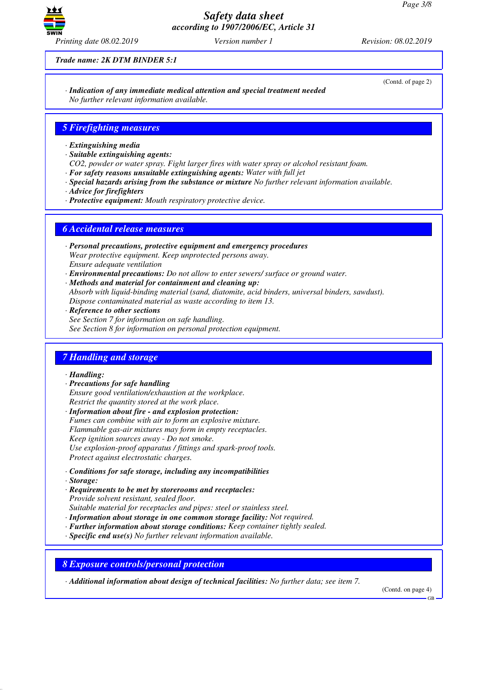

*Trade name: 2K DTM BINDER 5:1*

(Contd. of page 2)

*· Indication of any immediate medical attention and special treatment needed No further relevant information available.*

#### *5 Firefighting measures*

- *· Extinguishing media*
- *· Suitable extinguishing agents:*
- *CO2, powder or water spray. Fight larger fires with water spray or alcohol resistant foam.*
- *· For safety reasons unsuitable extinguishing agents: Water with full jet*
- *· Special hazards arising from the substance or mixture No further relevant information available.*
- *· Advice for firefighters*
- *· Protective equipment: Mouth respiratory protective device.*

#### *6 Accidental release measures*

- *· Personal precautions, protective equipment and emergency procedures Wear protective equipment. Keep unprotected persons away. Ensure adequate ventilation*
- *· Environmental precautions: Do not allow to enter sewers/ surface or ground water.*
- *· Methods and material for containment and cleaning up: Absorb with liquid-binding material (sand, diatomite, acid binders, universal binders, sawdust). Dispose contaminated material as waste according to item 13.*
- *· Reference to other sections See Section 7 for information on safe handling. See Section 8 for information on personal protection equipment.*

## *7 Handling and storage*

*· Handling:*

- *· Precautions for safe handling Ensure good ventilation/exhaustion at the workplace. Restrict the quantity stored at the work place.*
- *· Information about fire and explosion protection: Fumes can combine with air to form an explosive mixture. Flammable gas-air mixtures may form in empty receptacles. Keep ignition sources away - Do not smoke. Use explosion-proof apparatus / fittings and spark-proof tools. Protect against electrostatic charges.*
- *· Conditions for safe storage, including any incompatibilities*
- *· Storage:*
- *· Requirements to be met by storerooms and receptacles: Provide solvent resistant, sealed floor.*
- *Suitable material for receptacles and pipes: steel or stainless steel.*
- *· Information about storage in one common storage facility: Not required.*
- *· Further information about storage conditions: Keep container tightly sealed.*
- *· Specific end use(s) No further relevant information available.*

*8 Exposure controls/personal protection*

*· Additional information about design of technical facilities: No further data; see item 7.*

(Contd. on page 4)

GB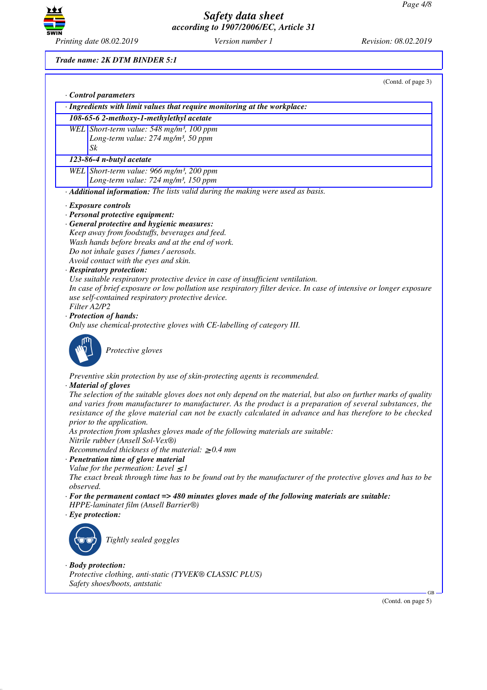

*Trade name: 2K DTM BINDER 5:1*

|           | · Ingredients with limit values that require monitoring at the workplace:                                                                                                                                                                                                                                                                |
|-----------|------------------------------------------------------------------------------------------------------------------------------------------------------------------------------------------------------------------------------------------------------------------------------------------------------------------------------------------|
|           | 108-65-6 2-methoxy-1-methylethyl acetate                                                                                                                                                                                                                                                                                                 |
|           | WEL Short-term value: 548 mg/m <sup>3</sup> , 100 ppm                                                                                                                                                                                                                                                                                    |
|           | Long-term value: 274 mg/m <sup>3</sup> , 50 ppm                                                                                                                                                                                                                                                                                          |
|           | $S_k$                                                                                                                                                                                                                                                                                                                                    |
|           | 123-86-4 n-butyl acetate                                                                                                                                                                                                                                                                                                                 |
|           | WEL Short-term value: 966 mg/m <sup>3</sup> , 200 ppm                                                                                                                                                                                                                                                                                    |
|           | Long-term value: 724 mg/m <sup>3</sup> , 150 ppm                                                                                                                                                                                                                                                                                         |
|           | · Additional information: The lists valid during the making were used as basis.                                                                                                                                                                                                                                                          |
|           | · Exposure controls                                                                                                                                                                                                                                                                                                                      |
|           | · Personal protective equipment:                                                                                                                                                                                                                                                                                                         |
|           | · General protective and hygienic measures:                                                                                                                                                                                                                                                                                              |
|           | Keep away from foodstuffs, beverages and feed.                                                                                                                                                                                                                                                                                           |
|           | Wash hands before breaks and at the end of work.                                                                                                                                                                                                                                                                                         |
|           | Do not inhale gases / fumes / aerosols.                                                                                                                                                                                                                                                                                                  |
|           | Avoid contact with the eyes and skin.                                                                                                                                                                                                                                                                                                    |
|           | · Respiratory protection:                                                                                                                                                                                                                                                                                                                |
|           | Use suitable respiratory protective device in case of insufficient ventilation.                                                                                                                                                                                                                                                          |
|           | In case of brief exposure or low pollution use respiratory filter device. In case of intensive or longer exposure<br>use self-contained respiratory protective device.                                                                                                                                                                   |
|           | Filter A2/P2                                                                                                                                                                                                                                                                                                                             |
|           | · Protection of hands:                                                                                                                                                                                                                                                                                                                   |
|           | Only use chemical-protective gloves with CE-labelling of category III.                                                                                                                                                                                                                                                                   |
|           | Protective gloves                                                                                                                                                                                                                                                                                                                        |
|           | Preventive skin protection by use of skin-protecting agents is recommended.                                                                                                                                                                                                                                                              |
|           | · Material of gloves                                                                                                                                                                                                                                                                                                                     |
|           | The selection of the suitable gloves does not only depend on the material, but also on further marks of quality<br>and varies from manufacturer to manufacturer. As the product is a preparation of several substances, the<br>resistance of the glove material can not be exactly calculated in advance and has therefore to be checked |
|           | prior to the application.                                                                                                                                                                                                                                                                                                                |
|           | As protection from splashes gloves made of the following materials are suitable:<br>Nitrile rubber (Ansell Sol-Vex®)                                                                                                                                                                                                                     |
|           | Recommended thickness of the material: $\geq 0.4$ mm                                                                                                                                                                                                                                                                                     |
|           | · Penetration time of glove material                                                                                                                                                                                                                                                                                                     |
|           | Value for the permeation: Level $\leq$ 1                                                                                                                                                                                                                                                                                                 |
|           | The exact break through time has to be found out by the manufacturer of the protective gloves and has to be                                                                                                                                                                                                                              |
| observed. |                                                                                                                                                                                                                                                                                                                                          |
|           | $\cdot$ For the permanent contact => 480 minutes gloves made of the following materials are suitable:<br>HPPE-laminatet film (Ansell Barrier®)                                                                                                                                                                                           |
|           | $\cdot$ Eye protection:                                                                                                                                                                                                                                                                                                                  |
|           |                                                                                                                                                                                                                                                                                                                                          |
|           | Tightly sealed goggles                                                                                                                                                                                                                                                                                                                   |
|           |                                                                                                                                                                                                                                                                                                                                          |
|           |                                                                                                                                                                                                                                                                                                                                          |
|           | $\cdot$ Body protection:                                                                                                                                                                                                                                                                                                                 |
|           | Protective clothing, anti-static (TYVEK® CLASSIC PLUS)                                                                                                                                                                                                                                                                                   |

(Contd. on page 5)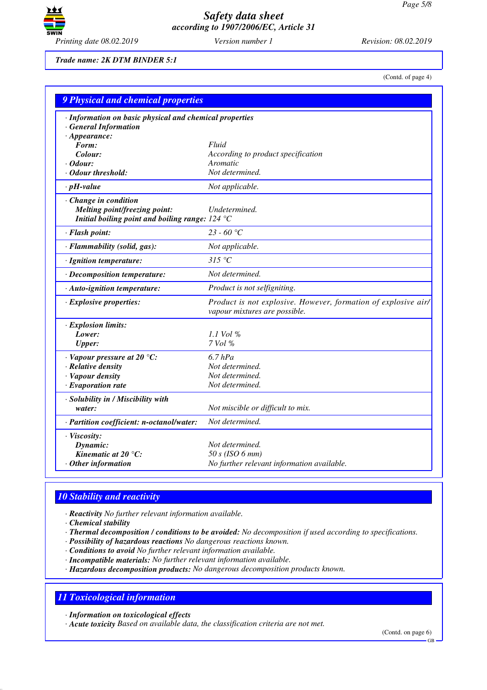

*Trade name: 2K DTM BINDER 5:1*

(Contd. of page 4)

| <b>9 Physical and chemical properties</b>                                                                   |                                                                                                 |  |
|-------------------------------------------------------------------------------------------------------------|-------------------------------------------------------------------------------------------------|--|
| · Information on basic physical and chemical properties<br><b>General Information</b>                       |                                                                                                 |  |
| $\cdot$ Appearance:                                                                                         |                                                                                                 |  |
| Form:                                                                                                       | Fluid                                                                                           |  |
| Colour:                                                                                                     | According to product specification                                                              |  |
| Odour:<br>· Odour threshold:                                                                                | Aromatic<br>Not determined.                                                                     |  |
|                                                                                                             |                                                                                                 |  |
| $\cdot$ pH-value                                                                                            | Not applicable.                                                                                 |  |
| · Change in condition<br>Melting point/freezing point:<br>Initial boiling point and boiling range: $124 °C$ | Undetermined.                                                                                   |  |
| · Flash point:                                                                                              | 23 - 60 °C                                                                                      |  |
|                                                                                                             |                                                                                                 |  |
| · Flammability (solid, gas):                                                                                | Not applicable.                                                                                 |  |
| · Ignition temperature:                                                                                     | 315 °C                                                                                          |  |
| · Decomposition temperature:                                                                                | Not determined.                                                                                 |  |
| · Auto-ignition temperature:                                                                                | Product is not selfigniting.                                                                    |  |
| · Explosive properties:                                                                                     | Product is not explosive. However, formation of explosive air/<br>vapour mixtures are possible. |  |
| · Explosion limits:                                                                                         |                                                                                                 |  |
| Lower:                                                                                                      | $1.1$ Vol %                                                                                     |  |
| <b>Upper:</b>                                                                                               | 7 Vol %                                                                                         |  |
| $\cdot$ Vapour pressure at 20 °C:                                                                           | $6.7$ hPa                                                                                       |  |
| · Relative density                                                                                          | Not determined.                                                                                 |  |
| · Vapour density                                                                                            | Not determined.                                                                                 |  |
| $\cdot$ Evaporation rate                                                                                    | Not determined.                                                                                 |  |
| · Solubility in / Miscibility with                                                                          |                                                                                                 |  |
| water:                                                                                                      | Not miscible or difficult to mix.                                                               |  |
| · Partition coefficient: n-octanol/water:                                                                   | Not determined.                                                                                 |  |
| · Viscosity:                                                                                                |                                                                                                 |  |
| Dynamic:                                                                                                    | Not determined.                                                                                 |  |
| Kinematic at 20 $^{\circ}$ C:                                                                               | $50 s$ (ISO 6 mm)                                                                               |  |
| Other information                                                                                           | No further relevant information available.                                                      |  |

## *10 Stability and reactivity*

*· Reactivity No further relevant information available.*

*· Chemical stability*

*· Thermal decomposition / conditions to be avoided: No decomposition if used according to specifications.*

*· Possibility of hazardous reactions No dangerous reactions known.*

*· Conditions to avoid No further relevant information available.*

*· Incompatible materials: No further relevant information available.*

*· Hazardous decomposition products: No dangerous decomposition products known.*

# *11 Toxicological information*

*· Information on toxicological effects*

*· Acute toxicity Based on available data, the classification criteria are not met.*

(Contd. on page 6)

GB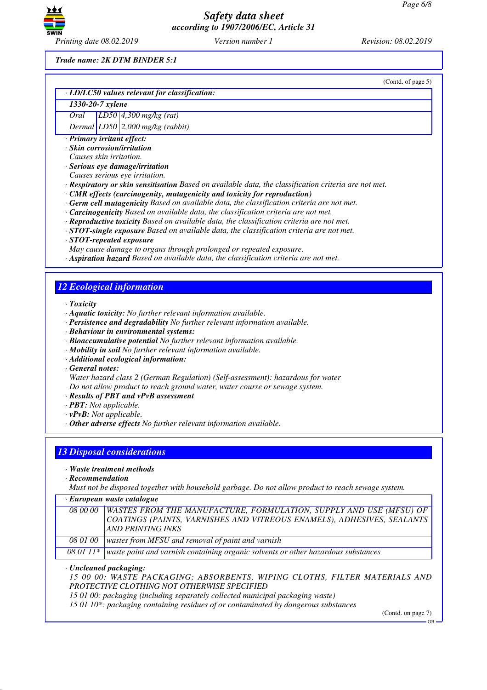

*Printing date 08.02.2019 Version number 1 Revision: 08.02.2019*

*Trade name: 2K DTM BINDER 5:1*

(Contd. of page 5) *· LD/LC50 values relevant for classification: 1330-20-7 xylene Oral LD50 4,300 mg/kg (rat) Dermal LD50 2,000 mg/kg (rabbit) · Primary irritant effect: · Skin corrosion/irritation Causes skin irritation. · Serious eye damage/irritation Causes serious eye irritation. · Respiratory or skin sensitisation Based on available data, the classification criteria are not met. · CMR effects (carcinogenity, mutagenicity and toxicity for reproduction) · Germ cell mutagenicity Based on available data, the classification criteria are not met. · Carcinogenicity Based on available data, the classification criteria are not met. · Reproductive toxicity Based on available data, the classification criteria are not met. · STOT-single exposure Based on available data, the classification criteria are not met. · STOT-repeated exposure May cause damage to organs through prolonged or repeated exposure. · Aspiration hazard Based on available data, the classification criteria are not met. 12 Ecological information · Toxicity · Aquatic toxicity: No further relevant information available. · Persistence and degradability No further relevant information available. · Behaviour in environmental systems: · Bioaccumulative potential No further relevant information available. · Mobility in soil No further relevant information available. · Additional ecological information: · General notes: Water hazard class 2 (German Regulation) (Self-assessment): hazardous for water Do not allow product to reach ground water, water course or sewage system. · Results of PBT and vPvB assessment · PBT: Not applicable. · vPvB: Not applicable. · Other adverse effects No further relevant information available. 13 Disposal considerations*

*· Waste treatment methods*

*· Recommendation*

*Must not be disposed together with household garbage. Do not allow product to reach sewage system.*

|  |  |  | · European waste catalogue |
|--|--|--|----------------------------|
|--|--|--|----------------------------|

|          | 08 00 00   WASTES FROM THE MANUFACTURE, FORMULATION, SUPPLY AND USE (MFSU) OF                      |
|----------|----------------------------------------------------------------------------------------------------|
|          | COATINGS (PAINTS, VARNISHES AND VITREOUS ENAMELS), ADHESIVES, SEALANTS<br><b>AND PRINTING INKS</b> |
| 08 01 00 | wastes from MFSU and removal of paint and varnish                                                  |
|          | 08 01 11 $*$ waste paint and varnish containing organic solvents or other hazardous substances     |

*· Uncleaned packaging:*

*15 00 00: WASTE PACKAGING; ABSORBENTS, WIPING CLOTHS, FILTER MATERIALS AND PROTECTIVE CLOTHING NOT OTHERWISE SPECIFIED*

*15 01 00: packaging (including separately collected municipal packaging waste)*

*15 01 10\*: packaging containing residues of or contaminated by dangerous substances*

(Contd. on page 7)

GB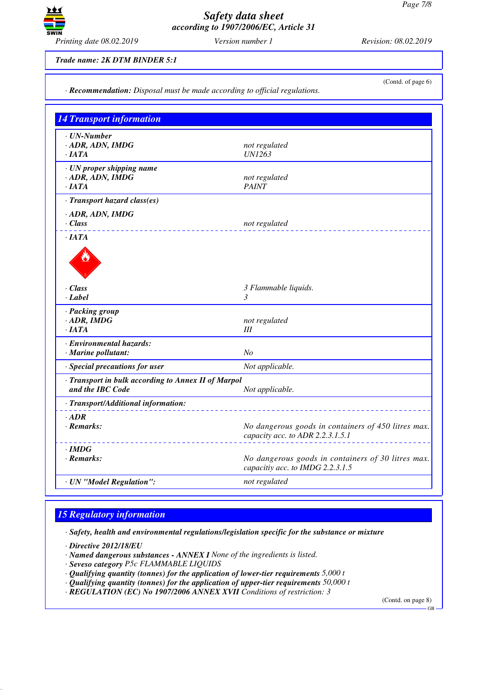

*· Recommendation: Disposal must be made according to official regulations.*

*Trade name: 2K DTM BINDER 5:1*

(Contd. of page 6)

*14 Transport information · UN-Number · ADR, ADN, IMDG not regulated · IATA UN1263 · UN proper shipping name · ADR, ADN, IMDG not regulated not regulated not regulated · IATA PAINT · Transport hazard class(es) · ADR, ADN, IMDG · Class not regulated · IATA* de Cardinal *· Class 3 Flammable liquids. · Label 3 · Packing group*  $not$  *regulated · IATA III · Environmental hazards: · Marine pollutant: No · Special precautions for user Not applicable. · Transport in bulk according to Annex II of Marpol* **and the IBC Code** *Not applicable. · Transport/Additional information: · ADR · Remarks: No dangerous goods in containers of 450 litres max. capacity acc. to ADR 2.2.3.1.5.1 · IMDG · Remarks: No dangerous goods in containers of 30 litres max. capacitiy acc. to IMDG 2.2.3.1.5 · UN "Model Regulation": not regulated*

## *15 Regulatory information*

*· Safety, health and environmental regulations/legislation specific for the substance or mixture*

*· Directive 2012/18/EU*

- *· Named dangerous substances ANNEX I None of the ingredients is listed.*
- *· Seveso category P5c FLAMMABLE LIQUIDS*
- *· Qualifying quantity (tonnes) for the application of lower-tier requirements 5,000 t*
- *· Qualifying quantity (tonnes) for the application of upper-tier requirements 50,000 t*
- *· REGULATION (EC) No 1907/2006 ANNEX XVII Conditions of restriction: 3*

(Contd. on page 8)

GB